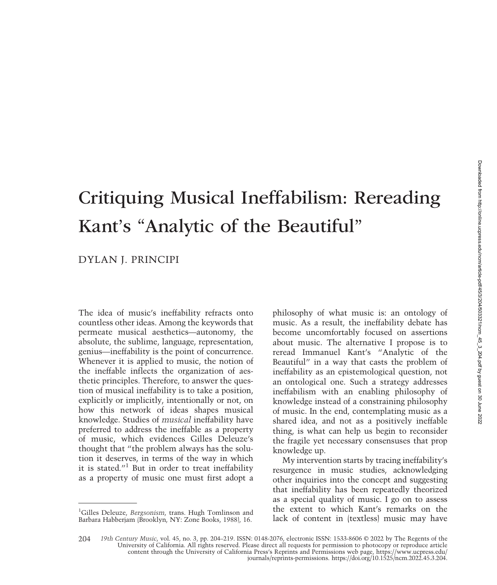# Critiquing Musical Ineffabilism: Rereading Kant's "Analytic of the Beautiful"

## DYLAN J. PRINCIPI

The idea of music's ineffability refracts onto countless other ideas. Among the keywords that permeate musical aesthetics—autonomy, the absolute, the sublime, language, representation, genius—ineffability is the point of concurrence. Whenever it is applied to music, the notion of the ineffable inflects the organization of aesthetic principles. Therefore, to answer the question of musical ineffability is to take a position, explicitly or implicitly, intentionally or not, on how this network of ideas shapes musical knowledge. Studies of musical ineffability have preferred to address the ineffable as a property of music, which evidences Gilles Deleuze's thought that "the problem always has the solution it deserves, in terms of the way in which it is stated."<sup>1</sup> But in order to treat ineffability as a property of music one must first adopt a philosophy of what music is: an ontology of music. As a result, the ineffability debate has become uncomfortably focused on assertions about music. The alternative I propose is to reread Immanuel Kant's "Analytic of the Beautiful" in a way that casts the problem of ineffability as an epistemological question, not an ontological one. Such a strategy addresses ineffabilism with an enabling philosophy of knowledge instead of a constraining philosophy of music. In the end, contemplating music as a shared idea, and not as a positively ineffable thing, is what can help us begin to reconsider the fragile yet necessary consensuses that prop knowledge up.

My intervention starts by tracing ineffability's resurgence in music studies, acknowledging other inquiries into the concept and suggesting that ineffability has been repeatedly theorized as a special quality of music. I go on to assess the extent to which Kant's remarks on the lack of content in (textless) music may have

<sup>&</sup>lt;sup>1</sup>Gilles Deleuze, Bergsonism, trans. Hugh Tomlinson and Barbara Habberjam (Brooklyn, NY: Zone Books, 1988), 16.

<sup>19</sup>th Century Music, vol. 45, no. 3, pp. 204–219. ISSN: 0148-2076, electronic ISSN: 1533-8606 © 2022 by The Regents of the University of California. All rights reserved. Please direct all requests for permission to photocop content through the University of California Press's Reprints and Permissions web page, https://www.ucpress.edu/ journals/reprints-permissions. https://doi.org/10.1525/ncm.2022.45.3.204. 204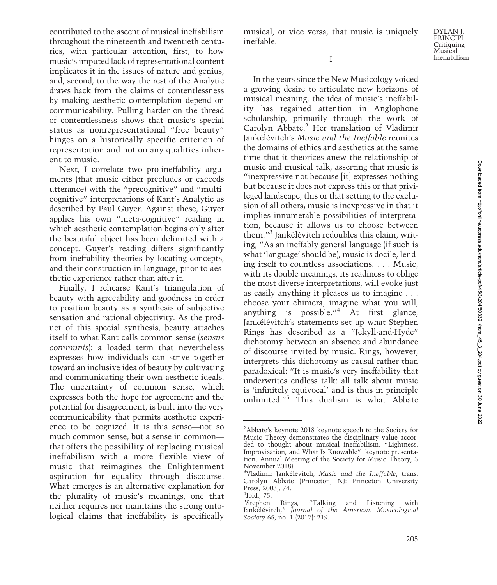I

musical, or vice versa, that music is uniquely

ineffable.

In the years since the New Musicology voiced a growing desire to articulate new horizons of musical meaning, the idea of music's ineffability has regained attention in Anglophone scholarship, primarily through the work of Carolyn Abbate.<sup>2</sup> Her translation of Vladimir Jankélévitch's Music and the Ineffable reunites the domains of ethics and aesthetics at the same time that it theorizes anew the relationship of music and musical talk, asserting that music is "inexpressive not because [it] expresses nothing but because it does not express this or that privileged landscape, this or that setting to the exclusion of all others; music is inexpressive in that it implies innumerable possibilities of interpretation, because it allows us to choose between them."<sup>3</sup> Jankélévitch redoubles this claim, writing, "As an ineffably general language (if such is what 'language' should be), music is docile, lending itself to countless associations. . . . Music, with its double meanings, its readiness to oblige the most diverse interpretations, will evoke just as easily anything it pleases us to imagine . . . choose your chimera, imagine what you will, anything is possible. $1/4$  At first glance, Jankélévitch's statements set up what Stephen Rings has described as a "Jekyll-and-Hyde" dichotomy between an absence and abundance of discourse invited by music. Rings, however, interprets this dichotomy as causal rather than paradoxical: "It is music's very ineffability that underwrites endless talk: all talk about music is 'infinitely equivocal' and is thus in principle unlimited."<sup>5</sup> This dualism is what Abbate

contributed to the ascent of musical ineffabilism throughout the nineteenth and twentieth centuries, with particular attention, first, to how music's imputed lack of representational content implicates it in the issues of nature and genius, and, second, to the way the rest of the Analytic draws back from the claims of contentlessness by making aesthetic contemplation depend on communicability. Pulling harder on the thread of contentlessness shows that music's special status as nonrepresentational "free beauty" hinges on a historically specific criterion of representation and not on any qualities inherent to music.

Next, I correlate two pro-ineffability arguments (that music either precludes or exceeds utterance) with the "precognitive" and "multicognitive" interpretations of Kant's Analytic as described by Paul Guyer. Against these, Guyer applies his own "meta-cognitive" reading in which aesthetic contemplation begins only after the beautiful object has been delimited with a concept. Guyer's reading differs significantly from ineffability theories by locating concepts, and their construction in language, prior to aesthetic experience rather than after it.

Finally, I rehearse Kant's triangulation of beauty with agreeability and goodness in order to position beauty as a synthesis of subjective sensation and rational objectivity. As the product of this special synthesis, beauty attaches itself to what Kant calls common sense (sensus communis): a loaded term that nevertheless expresses how individuals can strive together toward an inclusive idea of beauty by cultivating and communicating their own aesthetic ideals. The uncertainty of common sense, which expresses both the hope for agreement and the potential for disagreement, is built into the very communicability that permits aesthetic experience to be cognized. It is this sense—not so much common sense, but a sense in common that offers the possibility of replacing musical ineffabilism with a more flexible view of music that reimagines the Enlightenment aspiration for equality through discourse. What emerges is an alternative explanation for the plurality of music's meanings, one that neither requires nor maintains the strong ontological claims that ineffability is specifically

<sup>&</sup>lt;sup>2</sup>Abbate's keynote 2018 keynote speech to the Society for Music Theory demonstrates the disciplinary value accorded to thought about musical ineffabilism. "Lightness, Improvisation, and What Is Knowable" (keynote presentation, Annual Meeting of the Society for Music Theory, 3 November 2018).

<sup>&</sup>lt;sup>3</sup>Vladimir Jankélévitch, Music and the Ineffable, trans. Carolyn Abbate (Princeton, NJ: Princeton University Press, 2003), 74.

 $4$ Ibid., 75.

<sup>&</sup>lt;sup>5</sup>Stephen Rings, "Talking and Listening with Jankélévitch," Journal of the American Musicological Society 65, no. 1 (2012): 219.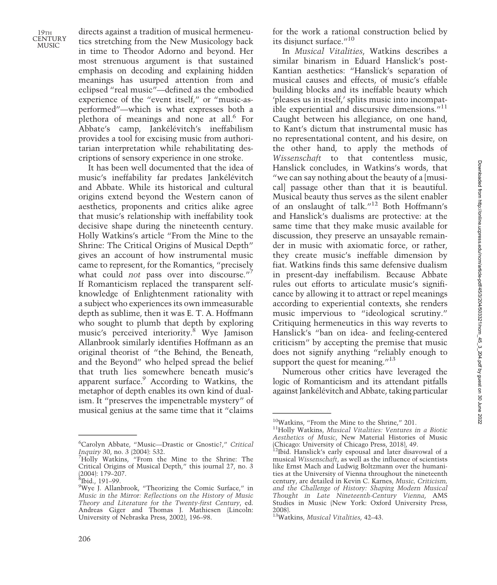directs against a tradition of musical hermeneutics stretching from the New Musicology back in time to Theodor Adorno and beyond. Her most strenuous argument is that sustained emphasis on decoding and explaining hidden meanings has usurped attention from and eclipsed "real music"—defined as the embodied experience of the "event itself," or "music-asperformed"—which is what expresses both a plethora of meanings and none at all.<sup>6</sup> For Abbate's camp, Jankélévitch's ineffabilism provides a tool for excising music from authoritarian interpretation while rehabilitating descriptions of sensory experience in one stroke.

It has been well documented that the idea of music's ineffability far predates Jankélévitch and Abbate. While its historical and cultural origins extend beyond the Western canon of aesthetics, proponents and critics alike agree that music's relationship with ineffability took decisive shape during the nineteenth century. Holly Watkins's article "From the Mine to the Shrine: The Critical Origins of Musical Depth" gives an account of how instrumental music came to represent, for the Romantics, "precisely what could not pass over into discourse."<sup>7</sup> If Romanticism replaced the transparent selfknowledge of Enlightenment rationality with a subject who experiences its own immeasurable depth as sublime, then it was E. T. A. Hoffmann who sought to plumb that depth by exploring music's perceived interiority.8 Wye Jamison Allanbrook similarly identifies Hoffmann as an original theorist of "the Behind, the Beneath, and the Beyond" who helped spread the belief that truth lies somewhere beneath music's apparent surface.<sup>9</sup> According to Watkins, the metaphor of depth enables its own kind of dualism. It "preserves the impenetrable mystery" of musical genius at the same time that it "claims for the work a rational construction belied by its disjunct surface."<sup>10</sup>

In Musical Vitalities, Watkins describes a similar binarism in Eduard Hanslick's post-Kantian aesthetics: "Hanslick's separation of musical causes and effects, of music's effable building blocks and its ineffable beauty which 'pleases us in itself,' splits music into incompatible experiential and discursive dimensions."<sup>11</sup> Caught between his allegiance, on one hand, to Kant's dictum that instrumental music has no representational content, and his desire, on the other hand, to apply the methods of Wissenschaft to that contentless music, Hanslick concludes, in Watkins's words, that "we can say nothing about the beauty of a [musical] passage other than that it is beautiful. Musical beauty thus serves as the silent enabler of an onslaught of talk."<sup>12</sup> Both Hoffmann's and Hanslick's dualisms are protective: at the same time that they make music available for discussion, they preserve an unsayable remainder in music with axiomatic force, or rather, they create music's ineffable dimension by fiat. Watkins finds this same defensive dualism in present-day ineffabilism. Because Abbate rules out efforts to articulate music's significance by allowing it to attract or repel meanings according to experiential contexts, she renders music impervious to "ideological scrutiny." Critiquing hermeneutics in this way reverts to Hanslick's "ban on idea- and feeling-centered criticism" by accepting the premise that music does not signify anything "reliably enough to support the quest for meaning. $13$ 

Numerous other critics have leveraged the logic of Romanticism and its attendant pitfalls against Jankélévitch and Abbate, taking particular

<sup>6</sup> Carolyn Abbate, "Music—Drastic or Gnostic?," Critical Inquiry 30, no. 3 (2004): 532. <sup>7</sup>

Holly Watkins, "From the Mine to the Shrine: The Critical Origins of Musical Depth," this journal 27, no. 3  $(2004): 179 - 207.$ 

 $8$ Ibid., 191–99.

Wye J. Allanbrook, "Theorizing the Comic Surface," in Music in the Mirror: Reflections on the History of Music Theory and Literature for the Twenty-first Century, ed. Andreas Giger and Thomas J. Mathiesen (Lincoln: University of Nebraska Press, 2002), 196–98.

<sup>&</sup>lt;sup>10</sup>Watkins, "From the Mine to the Shrine," 201.<br><sup>11</sup>Holly Watkins, *Musical Vitalities: Ventures in a Biotic* Aesthetics of Music, New Material Histories of Music

<sup>(</sup>Chicago: University of Chicago Press, 2018), 49. 12Ibid. Hanslick's early espousal and later disavowal of a musical Wissenschaft, as well as the influence of scientists like Ernst Mach and Ludwig Boltzmann over the humanities at the University of Vienna throughout the nineteenth century, are detailed in Kevin C. Karnes, Music, Criticism, and the Challenge of History: Shaping Modern Musical Thought in Late Nineteenth-Century Vienna, AMS Studies in Music (New York: Oxford University Press, 2008).

<sup>&</sup>lt;sup>13</sup>Watkins, Musical Vitalities, 42-43.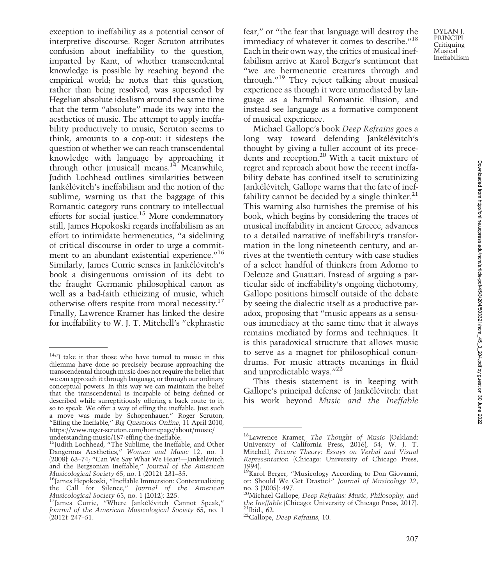exception to ineffability as a potential censor of interpretive discourse. Roger Scruton attributes confusion about ineffability to the question, imparted by Kant, of whether transcendental knowledge is possible by reaching beyond the empirical world; he notes that this question, rather than being resolved, was superseded by Hegelian absolute idealism around the same time that the term "absolute" made its way into the aesthetics of music. The attempt to apply ineffability productively to music, Scruton seems to think, amounts to a cop-out: it sidesteps the question of whether we can reach transcendental knowledge with language by approaching it through other (musical) means. $14$  Meanwhile, Judith Lochhead outlines similarities between Jankélévitch's ineffabilism and the notion of the sublime, warning us that the baggage of this Romantic category runs contrary to intellectual efforts for social justice.<sup>15</sup> More condemnatory still, James Hepokoski regards ineffabilism as an effort to intimidate hermeneutics, "a sidelining of critical discourse in order to urge a commitment to an abundant existential experience."<sup>16</sup> Similarly, James Currie senses in Jankélévitch's book a disingenuous omission of its debt to the fraught Germanic philosophical canon as well as a bad-faith ethicizing of music, which

otherwise offers respite from moral necessity.<sup>17</sup> Finally, Lawrence Kramer has linked the desire for ineffability to W. J. T. Mitchell's "ekphrastic fear," or "the fear that language will destroy the immediacy of whatever it comes to describe."<sup>18</sup> Each in their own way, the critics of musical ineffabilism arrive at Karol Berger's sentiment that "we are hermeneutic creatures through and through."<sup>19</sup> They reject talking about musical experience as though it were unmediated by language as a harmful Romantic illusion, and instead see language as a formative component of musical experience.

Michael Gallope's book Deep Refrains goes a long way toward defending Jankélévitch's thought by giving a fuller account of its precedents and reception.20 With a tacit mixture of regret and reproach about how the recent ineffability debate has confined itself to scrutinizing Jankélévitch, Gallope warns that the fate of ineffability cannot be decided by a single thinker. $21$ This warning also furnishes the premise of his book, which begins by considering the traces of musical ineffability in ancient Greece, advances to a detailed narrative of ineffability's transformation in the long nineteenth century, and arrives at the twentieth century with case studies of a select handful of thinkers from Adorno to Deleuze and Guattari. Instead of arguing a particular side of ineffability's ongoing dichotomy, Gallope positions himself outside of the debate by seeing the dialectic itself as a productive paradox, proposing that "music appears as a sensuous immediacy at the same time that it always remains mediated by forms and techniques. It is this paradoxical structure that allows music to serve as a magnet for philosophical conundrums. For music attracts meanings in fluid and unpredictable ways."<sup>22</sup>

This thesis statement is in keeping with Gallope's principal defense of Jankélévitch: that his work beyond Music and the Ineffable

<sup>&</sup>lt;sup>14</sup>"I take it that those who have turned to music in this dilemma have done so precisely because approaching the transcendental through music does not require the belief that we can approach it through language, or through our ordinary conceptual powers. In this way we can maintain the belief that the transcendental is incapable of being defined or described while surreptitiously offering a back route to it, so to speak. We offer a way of effing the ineffable. Just such a move was made by Schopenhauer." Roger Scruton, "Effing the Ineffable," Big Questions Online, 11 April 2010, https://www.roger-scruton.com/homepage/about/music/ understanding-music/187-effing-the-ineffable.

<sup>&</sup>lt;sup>15</sup>Judith Lochhead, "The Sublime, the Ineffable, and Other Dangerous Aesthetics," Women and Music 12, no. 1 (2008): 63–74; "Can We Say What We Hear?—Jankélévitch and the Bergsonian Ineffable," Journal of the American<br>Musicological Society 65, no. 1 (2012): 231–35.

<sup>&</sup>lt;sup>16</sup>James Hepokoski, "Ineffable Immersion: Contextualizing the Call for Silence," Journal of the American<br>Musicological Society 65, no. 1 (2012): 225.

<sup>&</sup>lt;sup>17</sup>James Currie, "Where Jankélévitch Cannot Speak," Journal of the American Musicological Society 65, no. 1 (2012): 247–51.

<sup>&</sup>lt;sup>18</sup>Lawrence Kramer, The Thought of Music (Oakland: University of California Press, 2016), 54; W. J. T. Mitchell, Picture Theory: Essays on Verbal and Visual Representation (Chicago: University of Chicago Press, 1994).

<sup>&</sup>lt;sup>19</sup>Karol Berger, "Musicology According to Don Giovanni, or: Should We Get Drastic?" Journal of Musicology 22,

no. 3 (2005): 497.<br><sup>20</sup>Michael Gallope, *Deep Refrains: Music, Philosophy, and* the Ineffable (Chicago: University of Chicago Press, 2017).<br><sup>21</sup>Ibid., 62. <sup>22</sup>Gallope, *Deep Refrains*, 10.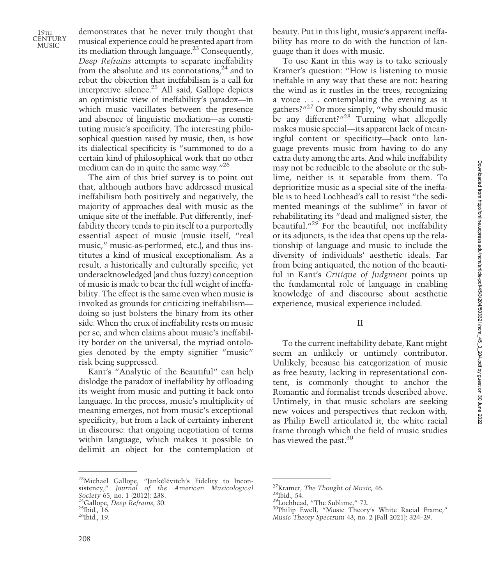demonstrates that he never truly thought that musical experience could be presented apart from its mediation through language.23 Consequently, Deep Refrains attempts to separate ineffability from the absolute and its connotations, $24$  and to rebut the objection that ineffabilism is a call for interpretive silence.<sup>25</sup> All said, Gallope depicts an optimistic view of ineffability's paradox—in which music vacillates between the presence and absence of linguistic mediation—as constituting music's specificity. The interesting philosophical question raised by music, then, is how its dialectical specificity is "summoned to do a certain kind of philosophical work that no other medium can do in quite the same way."<sup>26</sup>

The aim of this brief survey is to point out that, although authors have addressed musical ineffabilism both positively and negatively, the majority of approaches deal with music as the unique site of the ineffable. Put differently, ineffability theory tends to pin itself to a purportedly essential aspect of music (music itself, "real music," music-as-performed, etc.), and thus institutes a kind of musical exceptionalism. As a result, a historically and culturally specific, yet underacknowledged (and thus fuzzy) conception of music is made to bear the full weight of ineffability. The effect is the same even when music is invoked as grounds for criticizing ineffabilism doing so just bolsters the binary from its other side. When the crux of ineffability rests on music per se, and when claims about music's ineffability border on the universal, the myriad ontologies denoted by the empty signifier "music" risk being suppressed.

Kant's "Analytic of the Beautiful" can help dislodge the paradox of ineffability by offloading its weight from music and putting it back onto language. In the process, music's multiplicity of meaning emerges, not from music's exceptional specificity, but from a lack of certainty inherent in discourse: that ongoing negotiation of terms within language, which makes it possible to delimit an object for the contemplation of

23Michael Gallope, "Jankélévitch's Fidelity to Inconsistency," Journal of the American Musicological *Society 65, no. 1 (2012): 238.*<br><sup>24</sup>Gallope*, Deep Refrains, 30.*<br><sup>25</sup>Ibid., 16.<br><sup>26</sup>Ibid., 19.

beauty. Put in this light, music's apparent ineffability has more to do with the function of language than it does with music.

To use Kant in this way is to take seriously Kramer's question: "How is listening to music ineffable in any way that these are not: hearing the wind as it rustles in the trees, recognizing a voice . . . contemplating the evening as it gathers?"<sup>27</sup> Or more simply, "why should music be any different?"<sup>28</sup> Turning what allegedly makes music special—its apparent lack of meaningful content or specificity—back onto language prevents music from having to do any extra duty among the arts. And while ineffability may not be reducible to the absolute or the sublime, neither is it separable from them. To deprioritize music as a special site of the ineffable is to heed Lochhead's call to resist "the sedimented meanings of the sublime" in favor of rehabilitating its "dead and maligned sister, the beautiful."<sup>29</sup> For the beautiful, not ineffability or its adjuncts, is the idea that opens up the relationship of language and music to include the diversity of individuals' aesthetic ideals. Far from being antiquated, the notion of the beautiful in Kant's Critique of Judgment points up the fundamental role of language in enabling knowledge of and discourse about aesthetic experience, musical experience included.

## II

To the current ineffability debate, Kant might seem an unlikely or untimely contributor. Unlikely, because his categorization of music as free beauty, lacking in representational content, is commonly thought to anchor the Romantic and formalist trends described above. Untimely, in that music scholars are seeking new voices and perspectives that reckon with, as Philip Ewell articulated it, the white racial frame through which the field of music studies has viewed the past.<sup>30</sup>

<sup>&</sup>lt;sup>27</sup>Kramer, *The Thought of Music*, 46.<br><sup>28</sup>Ibid., 54.<br><sup>29</sup>Lochhead, "The Sublime," 72.<br><sup>30</sup>Philip Ewell, "Music Theory's White Racial Frame," Music Theory Spectrum 43, no. 2 (Fall 2021): 324–29.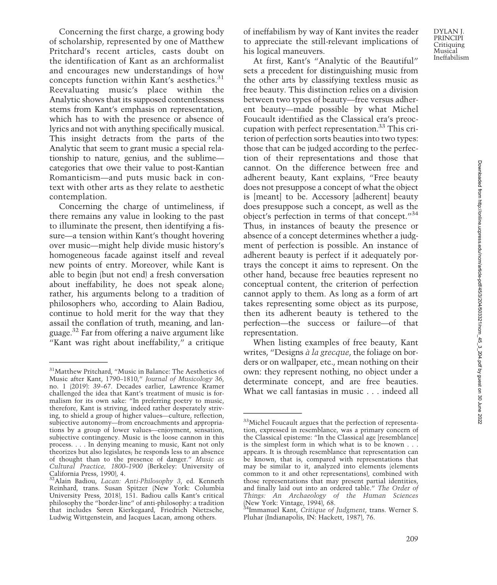Concerning the first charge, a growing body of scholarship, represented by one of Matthew Pritchard's recent articles, casts doubt on the identification of Kant as an archformalist and encourages new understandings of how concepts function within Kant's aesthetics.<sup>31</sup> Reevaluating music's place within the Analytic shows that its supposed contentlessness stems from Kant's emphasis on representation, which has to with the presence or absence of lyrics and not with anything specifically musical. This insight detracts from the parts of the Analytic that seem to grant music a special relationship to nature, genius, and the sublime categories that owe their value to post-Kantian Romanticism—and puts music back in context with other arts as they relate to aesthetic contemplation.

Concerning the charge of untimeliness, if there remains any value in looking to the past to illuminate the present, then identifying a fissure—a tension within Kant's thought hovering over music—might help divide music history's homogeneous facade against itself and reveal new points of entry. Moreover, while Kant is able to begin (but not end) a fresh conversation about ineffability, he does not speak alone; rather, his arguments belong to a tradition of philosophers who, according to Alain Badiou, continue to hold merit for the way that they assail the conflation of truth, meaning, and language.32 Far from offering a naive argument like "Kant was right about ineffability," a critique

of ineffabilism by way of Kant invites the reader to appreciate the still-relevant implications of his logical maneuvers.

At first, Kant's "Analytic of the Beautiful" sets a precedent for distinguishing music from the other arts by classifying textless music as free beauty. This distinction relies on a division between two types of beauty—free versus adherent beauty—made possible by what Michel Foucault identified as the Classical era's preoccupation with perfect representation. $33$  This criterion of perfection sorts beauties into two types: those that can be judged according to the perfection of their representations and those that cannot. On the difference between free and adherent beauty, Kant explains, "Free beauty does not presuppose a concept of what the object is [meant] to be. Accessory [adherent] beauty does presuppose such a concept, as well as the object's perfection in terms of that concept."<sup>34</sup> Thus, in instances of beauty the presence or absence of a concept determines whether a judgment of perfection is possible. An instance of adherent beauty is perfect if it adequately portrays the concept it aims to represent. On the other hand, because free beauties represent no conceptual content, the criterion of perfection cannot apply to them. As long as a form of art takes representing some object as its purpose, then its adherent beauty is tethered to the perfection—the success or failure—of that representation.

When listing examples of free beauty, Kant writes, "Designs à la grecque, the foliage on borders or on wallpaper, etc., mean nothing on their own: they represent nothing, no object under a determinate concept, and are free beauties. What we call fantasias in music . . . indeed all

<sup>31</sup>Matthew Pritchard, "Music in Balance: The Aesthetics of Music after Kant, 1790–1810," Journal of Musicology 36, no. 1 (2019): 39–67. Decades earlier, Lawrence Kramer challenged the idea that Kant's treatment of music is formalism for its own sake: "In preferring poetry to music, therefore, Kant is striving, indeed rather desperately striving, to shield a group of higher values—culture, reflection, subjective autonomy—from encroachments and appropriations by a group of lower values—enjoyment, sensation, subjective contingency. Music is the loose cannon in this process. . . . In denying meaning to music, Kant not only theorizes but also legislates; he responds less to an absence of thought than to the presence of danger." Music as Cultural Practice, 1800–1900 (Berkeley: University of California Press, 1990), 4.

<sup>&</sup>lt;sup>32</sup>Alain Badiou, Lacan: Anti-Philosophy 3, ed. Kenneth Reinhard, trans. Susan Spitzer (New York: Columbia University Press, 2018), 151. Badiou calls Kant's critical philosophy the "border-line" of anti-philosophy: a tradition that includes Søren Kierkegaard, Friedrich Nietzsche, Ludwig Wittgenstein, and Jacques Lacan, among others.

<sup>&</sup>lt;sup>33</sup>Michel Foucault argues that the perfection of representation, expressed in resemblance, was a primary concern of the Classical episteme: "In the Classical age [resemblance] is the simplest form in which what is to be known . . . appears. It is through resemblance that representation can be known, that is, compared with representations that may be similar to it, analyzed into elements (elements common to it and other representations), combined with those representations that may present partial identities, and finally laid out into an ordered table." The Order of Things: An Archaeology of the Human Sciences

<sup>(</sup>New York: Vintage, 1994), 68. 34Immanuel Kant, Critique of Judgment, trans. Werner S. Pluhar (Indianapolis, IN: Hackett, 1987), 76.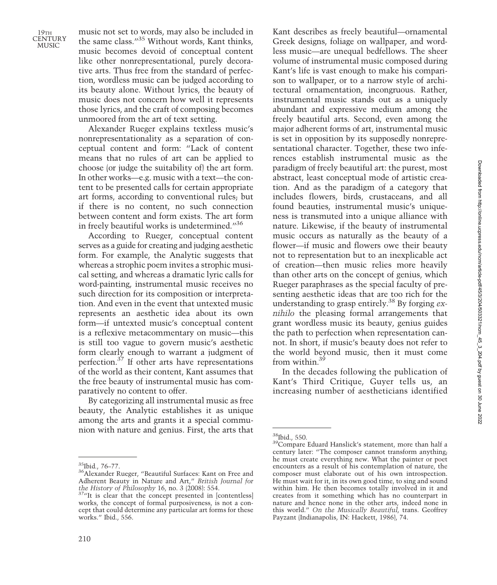music not set to words, may also be included in the same class."<sup>35</sup> Without words, Kant thinks, music becomes devoid of conceptual content like other nonrepresentational, purely decorative arts. Thus free from the standard of perfection, wordless music can be judged according to its beauty alone. Without lyrics, the beauty of music does not concern how well it represents those lyrics, and the craft of composing becomes unmoored from the art of text setting.

Alexander Rueger explains textless music's nonrepresentationality as a separation of conceptual content and form: "Lack of content means that no rules of art can be applied to choose (or judge the suitability of) the art form. In other works—e.g. music with a text—the content to be presented calls for certain appropriate art forms, according to conventional rules; but if there is no content, no such connection between content and form exists. The art form in freely beautiful works is undetermined."<sup>36</sup>

According to Rueger, conceptual content serves as a guide for creating and judging aesthetic form. For example, the Analytic suggests that whereas a strophic poem invites a strophic musical setting, and whereas a dramatic lyric calls for word-painting, instrumental music receives no such direction for its composition or interpretation. And even in the event that untexted music represents an aesthetic idea about its own form—if untexted music's conceptual content is a reflexive metacommentary on music—this is still too vague to govern music's aesthetic form clearly enough to warrant a judgment of perfection.37 If other arts have representations of the world as their content, Kant assumes that the free beauty of instrumental music has comparatively no content to offer.

By categorizing all instrumental music as free beauty, the Analytic establishes it as unique among the arts and grants it a special communion with nature and genius. First, the arts that Kant describes as freely beautiful—ornamental Greek designs, foliage on wallpaper, and wordless music—are unequal bedfellows. The sheer volume of instrumental music composed during Kant's life is vast enough to make his comparison to wallpaper, or to a narrow style of architectural ornamentation, incongruous. Rather, instrumental music stands out as a uniquely abundant and expressive medium among the freely beautiful arts. Second, even among the major adherent forms of art, instrumental music is set in opposition by its supposedly nonrepresentational character. Together, these two inferences establish instrumental music as the paradigm of freely beautiful art: the purest, most abstract, least conceptual mode of artistic creation. And as the paradigm of a category that includes flowers, birds, crustaceans, and all found beauties, instrumental music's uniqueness is transmuted into a unique alliance with nature. Likewise, if the beauty of instrumental music occurs as naturally as the beauty of a flower—if music and flowers owe their beauty not to representation but to an inexplicable act of creation—then music relies more heavily than other arts on the concept of genius, which Rueger paraphrases as the special faculty of presenting aesthetic ideas that are too rich for the understanding to grasp entirely.<sup>38</sup> By forging  $ex$ nihilo the pleasing formal arrangements that grant wordless music its beauty, genius guides the path to perfection when representation cannot. In short, if music's beauty does not refer to the world beyond music, then it must come from within.<sup>39</sup>

In the decades following the publication of Kant's Third Critique, Guyer tells us, an increasing number of aestheticians identified

 $^{35}\rm{Ibid.}$  76–77.  $^{36}\rm{Alexander\ Rueger,}$  "Beautiful Surfaces: Kant on Free and Adherent Beauty in Nature and Art," British Journal for the History of Philosophy 16, no. 3 (2008): 554.  $3^{7}$ <sup>1</sup>It is clear that the concept presented in [contentless]

works, the concept of formal purposiveness, is not a concept that could determine any particular art forms for these works." Ibid., 556.

 $\frac{^{38}\text{Ibid., 550}}{^{39}\text{Compare}}$  Eduard Hanslick's statement, more than half a century later: "The composer cannot transform anything; he must create everything new. What the painter or poet encounters as a result of his contemplation of nature, the composer must elaborate out of his own introspection. He must wait for it, in its own good time, to sing and sound within him. He then becomes totally involved in it and creates from it something which has no counterpart in nature and hence none in the other arts, indeed none in this world." On the Musically Beautiful, trans. Geoffrey Payzant (Indianapolis, IN: Hackett, 1986), 74.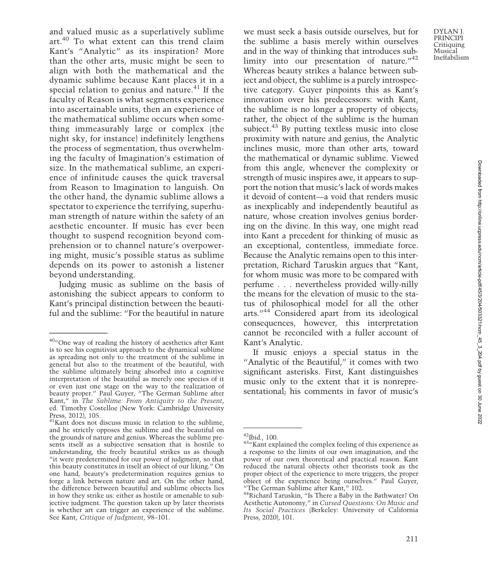Ineffabilism Downloaded from http://online.ucpress.edu/ncm/article-pdf/45/3/204/503321/ncm\_45\_3\_204.pdf by guest on 30 June 2022 Downloaded from http://online.ucpress.edu/ncm/article-pdf/45/3/204/503321/ncm\_45\_3\_204.pdf by guest on 30 June 2022

DYLAN J. PRINCIPI Critiquing Musical

and valued music as a superlatively sublime art.<sup>40</sup> To what extent can this trend claim Kant's "Analytic" as its inspiration? More than the other arts, music might be seen to align with both the mathematical and the dynamic sublime because Kant places it in a special relation to genius and nature.<sup>41</sup> If the faculty of Reason is what segments experience into ascertainable units, then an experience of the mathematical sublime occurs when something immeasurably large or complex (the night sky, for instance) indefinitely lengthens the process of segmentation, thus overwhelming the faculty of Imagination's estimation of size. In the mathematical sublime, an experience of infinitude causes the quick traversal from Reason to Imagination to languish. On the other hand, the dynamic sublime allows a spectator to experience the terrifying, superhuman strength of nature within the safety of an aesthetic encounter. If music has ever been thought to suspend recognition beyond comprehension or to channel nature's overpowering might, music's possible status as sublime depends on its power to astonish a listener beyond understanding.

Judging music as sublime on the basis of astonishing the subject appears to conform to Kant's principal distinction between the beautiful and the sublime: "For the beautiful in nature

we must seek a basis outside ourselves, but for the sublime a basis merely within ourselves and in the way of thinking that introduces sublimity into our presentation of nature."<sup>42</sup> Whereas beauty strikes a balance between subject and object, the sublime is a purely introspective category. Guyer pinpoints this as Kant's innovation over his predecessors: with Kant, the sublime is no longer a property of objects; rather, the object of the sublime is the human subject.<sup>43</sup> By putting textless music into close proximity with nature and genius, the Analytic inclines music, more than other arts, toward the mathematical or dynamic sublime. Viewed from this angle, whenever the complexity or strength of music inspires awe, it appears to support the notion that music's lack of words makes it devoid of content—a void that renders music as inexplicably and independently beautiful as nature, whose creation involves genius bordering on the divine. In this way, one might read into Kant a precedent for thinking of music as an exceptional, contentless, immediate force. Because the Analytic remains open to this interpretation, Richard Taruskin argues that "Kant, for whom music was more to be compared with perfume . . . nevertheless provided willy-nilly the means for the elevation of music to the status of philosophical model for all the other arts."<sup>44</sup> Considered apart from its ideological consequences, however, this interpretation cannot be reconciled with a fuller account of Kant's Analytic.

If music enjoys a special status in the "Analytic of the Beautiful," it comes with two significant asterisks. First, Kant distinguishes music only to the extent that it is nonrepresentational; his comments in favor of music's

<sup>&</sup>lt;sup>40</sup>"One way of reading the history of aesthetics after Kant is to see his cognitivist approach to the dynamical sublime as spreading not only to the treatment of the sublime in general but also to the treatment of the beautiful, with the sublime ultimately being absorbed into a cognitive interpretation of the beautiful as merely one species of it or even just one stage on the way to the realization of beauty proper." Paul Guyer, "The German Sublime after Kant," in The Sublime: From Antiquity to the Present, ed. Timothy Costelloe (New York: Cambridge University Press, 2012), 105.

 $41$ Kant does not discuss music in relation to the sublime, and he strictly opposes the sublime and the beautiful on the grounds of nature and genius. Whereas the sublime presents itself as a subjective sensation that is hostile to understanding, the freely beautiful strikes us as though "it were predetermined for our power of judgment, so that this beauty constitutes in itself an object of our liking." On one hand, beauty's predetermination requires genius to forge a link between nature and art. On the other hand, the difference between beautiful and sublime objects lies in how they strike us: either as hostile or amenable to subjective judgment. The question taken up by later theorists is whether art can trigger an experience of the sublime. See Kant, Critique of Judgment, 98–101.

<sup>&</sup>lt;sup>42</sup>Ibid., 100.<br> $43''$ Kant explained the complex feeling of this experience as a response to the limits of our own imagination, and the power of our own theoretical and practical reason. Kant reduced the natural objects other theorists took as the proper object of the experience to mere triggers, the proper object of the experience being ourselves." Paul Guyer,

<sup>&</sup>quot;The German Sublime after Kant," 102.<br><sup>44</sup>Richard Taruskin, "Is There a Baby in the Bathwater? On Aesthetic Autonomy," in Cursed Questions: On Music and Its Social Practices (Berkeley: University of California Press, 2020), 101.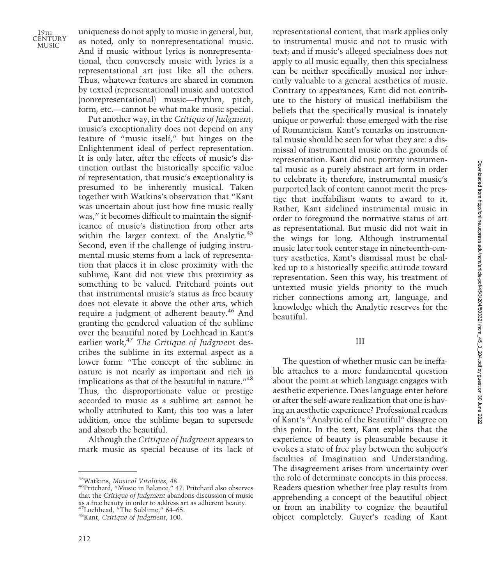uniqueness do not apply to music in general, but, as noted, only to nonrepresentational music. And if music without lyrics is nonrepresentational, then conversely music with lyrics is a representational art just like all the others. Thus, whatever features are shared in common by texted (representational) music and untexted (nonrepresentational) music—rhythm, pitch, form, etc.—cannot be what make music special.

Put another way, in the Critique of Judgment, music's exceptionality does not depend on any feature of "music itself," but hinges on the Enlightenment ideal of perfect representation. It is only later, after the effects of music's distinction outlast the historically specific value of representation, that music's exceptionality is presumed to be inherently musical. Taken together with Watkins's observation that "Kant was uncertain about just how fine music really was," it becomes difficult to maintain the significance of music's distinction from other arts within the larger context of the Analytic.<sup>45</sup> Second, even if the challenge of judging instrumental music stems from a lack of representation that places it in close proximity with the sublime, Kant did not view this proximity as something to be valued. Pritchard points out that instrumental music's status as free beauty does not elevate it above the other arts, which require a judgment of adherent beauty.46 And granting the gendered valuation of the sublime over the beautiful noted by Lochhead in Kant's earlier work, $47$  The Critique of Judgment describes the sublime in its external aspect as a lower form: "The concept of the sublime in nature is not nearly as important and rich in implications as that of the beautiful in nature.<sup>"48</sup> Thus, the disproportionate value or prestige accorded to music as a sublime art cannot be wholly attributed to Kant; this too was a later addition, once the sublime began to supersede and absorb the beautiful.

Although the Critique of Judgment appears to mark music as special because of its lack of representational content, that mark applies only to instrumental music and not to music with text; and if music's alleged specialness does not apply to all music equally, then this specialness can be neither specifically musical nor inherently valuable to a general aesthetics of music. Contrary to appearances, Kant did not contribute to the history of musical ineffabilism the beliefs that the specifically musical is innately unique or powerful: those emerged with the rise of Romanticism. Kant's remarks on instrumental music should be seen for what they are: a dismissal of instrumental music on the grounds of representation. Kant did not portray instrumental music as a purely abstract art form in order to celebrate it; therefore, instrumental music's purported lack of content cannot merit the prestige that ineffabilism wants to award to it. Rather, Kant sidelined instrumental music in order to foreground the normative status of art as representational. But music did not wait in the wings for long. Although instrumental music later took center stage in nineteenth-century aesthetics, Kant's dismissal must be chalked up to a historically specific attitude toward representation. Seen this way, his treatment of untexted music yields priority to the much richer connections among art, language, and knowledge which the Analytic reserves for the beautiful.

#### III

The question of whether music can be ineffable attaches to a more fundamental question about the point at which language engages with aesthetic experience. Does language enter before or after the self-aware realization that one is having an aesthetic experience? Professional readers of Kant's "Analytic of the Beautiful" disagree on this point. In the text, Kant explains that the experience of beauty is pleasurable because it evokes a state of free play between the subject's faculties of Imagination and Understanding. The disagreement arises from uncertainty over the role of determinate concepts in this process. Readers question whether free play results from apprehending a concept of the beautiful object or from an inability to cognize the beautiful object completely. Guyer's reading of Kant

<sup>45</sup>Watkins, Musical Vitalities, 48. 46Pritchard, "Music in Balance," 47. Pritchard also observes that the Critique of Judgment abandons discussion of music as a free beauty in order to address art as adherent beauty.<br><sup>47</sup>Lochhead, "The Sublime," 64–65.<br><sup>48</sup>Kant, *Critique of Judgment*, 100.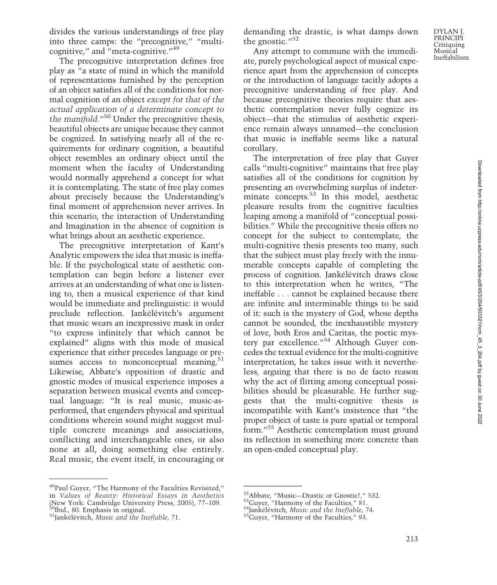divides the various understandings of free play into three camps: the "precognitive," "multicognitive," and "meta-cognitive."<sup>49</sup>

The precognitive interpretation defines free play as "a state of mind in which the manifold of representations furnished by the perception of an object satisfies all of the conditions for normal cognition of an object except for that of the actual application of a determinate concept to the manifold."<sup>50</sup> Under the precognitive thesis, beautiful objects are unique because they cannot be cognized. In satisfying nearly all of the requirements for ordinary cognition, a beautiful object resembles an ordinary object until the moment when the faculty of Understanding would normally apprehend a concept for what it is contemplating. The state of free play comes about precisely because the Understanding's final moment of apprehension never arrives. In this scenario, the interaction of Understanding and Imagination in the absence of cognition is what brings about an aesthetic experience.

The precognitive interpretation of Kant's Analytic empowers the idea that music is ineffable. If the psychological state of aesthetic contemplation can begin before a listener ever arrives at an understanding of what one is listening to, then a musical experience of that kind would be immediate and prelinguistic: it would preclude reflection. Jankélévitch's argument that music wears an inexpressive mask in order "to express infinitely that which cannot be explained" aligns with this mode of musical experience that either precedes language or presumes access to nonconceptual meaning. $51$ Likewise, Abbate's opposition of drastic and gnostic modes of musical experience imposes a separation between musical events and conceptual language: "It is real music, music-asperformed, that engenders physical and spiritual conditions wherein sound might suggest multiple concrete meanings and associations, conflicting and interchangeable ones, or also none at all, doing something else entirely. Real music, the event itself, in encouraging or

demanding the drastic, is what damps down the gnostic. $1/52$ 

Any attempt to commune with the immediate, purely psychological aspect of musical experience apart from the apprehension of concepts or the introduction of language tacitly adopts a precognitive understanding of free play. And because precognitive theories require that aesthetic contemplation never fully cognize its object—that the stimulus of aesthetic experience remain always unnamed—the conclusion that music is ineffable seems like a natural corollary.

The interpretation of free play that Guyer calls "multi-cognitive" maintains that free play satisfies all of the conditions for cognition by presenting an overwhelming surplus of indeterminate concepts.<sup>53</sup> In this model, aesthetic pleasure results from the cognitive faculties leaping among a manifold of "conceptual possibilities." While the precognitive thesis offers no concept for the subject to contemplate, the multi-cognitive thesis presents too many, such that the subject must play freely with the innumerable concepts capable of completing the process of cognition. Jankélévitch draws close to this interpretation when he writes, "The ineffable . . . cannot be explained because there are infinite and interminable things to be said of it: such is the mystery of God, whose depths cannot be sounded, the inexhaustible mystery of love, both Eros and Caritas, the poetic mystery par excellence."<sup>54</sup> Although Guyer concedes the textual evidence for the multi-cognitive interpretation, he takes issue with it nevertheless, arguing that there is no de facto reason why the act of flitting among conceptual possibilities should be pleasurable. He further suggests that the multi-cognitive thesis is incompatible with Kant's insistence that "the proper object of taste is pure spatial or temporal form."<sup>55</sup> Aesthetic contemplation must ground its reflection in something more concrete than an open-ended conceptual play.

<sup>49</sup>Paul Guyer, "The Harmony of the Faculties Revisited," in Values of Beauty: Historical Essays in Aesthetics (New York: Cambridge University Press, 2005), 77–109.<br><sup>50</sup>Ibid., 80. Emphasis in original.<br><sup>51</sup>Jankélévitch, *Music and the Ineffable*, 71.

<sup>&</sup>lt;sup>52</sup>Abbate, "Music—Drastic or Gnostic?," 532.<br><sup>53</sup>Guyer, "Harmony of the Faculties," 81.<br><sup>54</sup>Jankélévitch, *Music and the Ineffable*, 74.<br><sup>55</sup>Guyer, "Harmony of the Faculties," 93.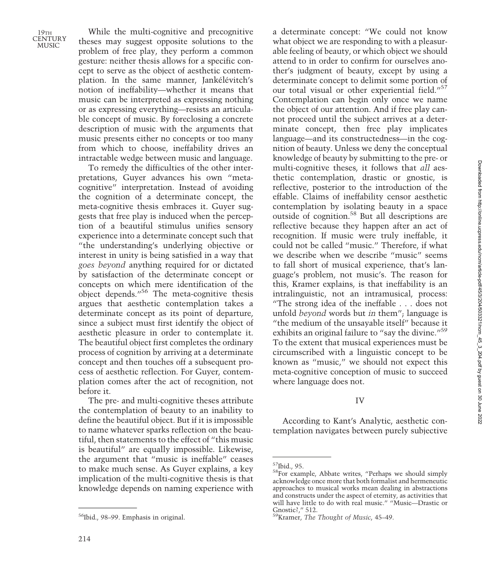While the multi-cognitive and precognitive theses may suggest opposite solutions to the problem of free play, they perform a common gesture: neither thesis allows for a specific concept to serve as the object of aesthetic contemplation. In the same manner, Jankélévitch's notion of ineffability—whether it means that music can be interpreted as expressing nothing or as expressing everything—resists an articulable concept of music. By foreclosing a concrete description of music with the arguments that music presents either no concepts or too many from which to choose, ineffability drives an intractable wedge between music and language.

To remedy the difficulties of the other interpretations, Guyer advances his own "metacognitive" interpretation. Instead of avoiding the cognition of a determinate concept, the meta-cognitive thesis embraces it. Guyer suggests that free play is induced when the perception of a beautiful stimulus unifies sensory experience into a determinate concept such that "the understanding's underlying objective or interest in unity is being satisfied in a way that goes beyond anything required for or dictated by satisfaction of the determinate concept or concepts on which mere identification of the object depends."<sup>56</sup> The meta-cognitive thesis argues that aesthetic contemplation takes a determinate concept as its point of departure, since a subject must first identify the object of aesthetic pleasure in order to contemplate it. The beautiful object first completes the ordinary process of cognition by arriving at a determinate concept and then touches off a subsequent process of aesthetic reflection. For Guyer, contemplation comes after the act of recognition, not before it.

The pre- and multi-cognitive theses attribute the contemplation of beauty to an inability to define the beautiful object. But if it is impossible to name whatever sparks reflection on the beautiful, then statements to the effect of "this music is beautiful" are equally impossible. Likewise, the argument that "music is ineffable" ceases to make much sense. As Guyer explains, a key implication of the multi-cognitive thesis is that knowledge depends on naming experience with a determinate concept: "We could not know what object we are responding to with a pleasurable feeling of beauty, or which object we should attend to in order to confirm for ourselves another's judgment of beauty, except by using a determinate concept to delimit some portion of our total visual or other experiential field."<sup>57</sup> Contemplation can begin only once we name the object of our attention. And if free play cannot proceed until the subject arrives at a determinate concept, then free play implicates language—and its constructedness—in the cognition of beauty. Unless we deny the conceptual knowledge of beauty by submitting to the pre- or multi-cognitive theses, it follows that all aesthetic contemplation, drastic or gnostic, is reflective, posterior to the introduction of the effable. Claims of ineffability censor aesthetic contemplation by isolating beauty in a space outside of cognition.58 But all descriptions are reflective because they happen after an act of recognition. If music were truly ineffable, it could not be called "music." Therefore, if what we describe when we describe "music" seems to fall short of musical experience, that's language's problem, not music's. The reason for this, Kramer explains, is that ineffability is an intralinguistic, not an intramusical, process: "The strong idea of the ineffable . . . does not unfold beyond words but in them"; language is "the medium of the unsayable itself" because it exhibits an original failure to "say the divine."<sup>59</sup> To the extent that musical experiences must be circumscribed with a linguistic concept to be known as "music," we should not expect this meta-cognitive conception of music to succeed where language does not.

#### IV

According to Kant's Analytic, aesthetic contemplation navigates between purely subjective

<sup>56</sup>Ibid., 98–99. Emphasis in original.

 $57$ Ibid., 95.<br> $58$ For example, Abbate writes, "Perhaps we should simply acknowledge once more that both formalist and hermeneutic approaches to musical works mean dealing in abstractions and constructs under the aspect of eternity, as activities that will have little to do with real music." "Music—Drastic or Gnostic?," 512.

<sup>&</sup>lt;sup>59</sup>Kramer, The Thought of Music, 45-49.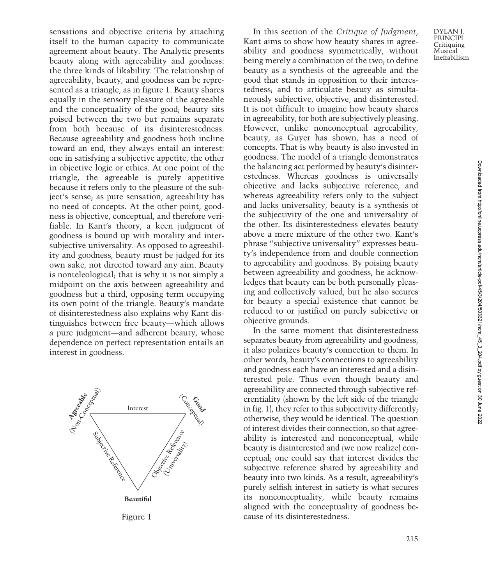sensations and objective criteria by attaching itself to the human capacity to communicate agreement about beauty. The Analytic presents beauty along with agreeability and goodness: the three kinds of likability. The relationship of agreeability, beauty, and goodness can be represented as a triangle, as in figure 1. Beauty shares equally in the sensory pleasure of the agreeable and the conceptuality of the good; beauty sits poised between the two but remains separate from both because of its disinterestedness. Because agreeability and goodness both incline toward an end, they always entail an interest: one in satisfying a subjective appetite, the other in objective logic or ethics. At one point of the triangle, the agreeable is purely appetitive because it refers only to the pleasure of the subject's sense; as pure sensation, agreeability has no need of concepts. At the other point, goodness is objective, conceptual, and therefore verifiable. In Kant's theory, a keen judgment of goodness is bound up with morality and intersubjective universality. As opposed to agreeability and goodness, beauty must be judged for its own sake, not directed toward any aim. Beauty is nonteleological; that is why it is not simply a midpoint on the axis between agreeability and goodness but a third, opposing term occupying its own point of the triangle. Beauty's mandate of disinterestedness also explains why Kant distinguishes between free beauty—which allows a pure judgment—and adherent beauty, whose dependence on perfect representation entails an interest in goodness.



Figure 1

In this section of the Critique of Judgment, Kant aims to show how beauty shares in agreeability and goodness symmetrically, without being merely a combination of the two; to define beauty as a synthesis of the agreeable and the good that stands in opposition to their interestedness; and to articulate beauty as simultaneously subjective, objective, and disinterested. It is not difficult to imagine how beauty shares in agreeability, for both are subjectively pleasing. However, unlike nonconceptual agreeability, beauty, as Guyer has shown, has a need of concepts. That is why beauty is also invested in goodness. The model of a triangle demonstrates the balancing act performed by beauty's disinterestedness. Whereas goodness is universally objective and lacks subjective reference, and whereas agreeability refers only to the subject and lacks universality, beauty is a synthesis of the subjectivity of the one and universality of the other. Its disinterestedness elevates beauty above a mere mixture of the other two. Kant's phrase "subjective universality" expresses beauty's independence from and double connection to agreeability and goodness. By poising beauty between agreeability and goodness, he acknowledges that beauty can be both personally pleasing and collectively valued, but he also secures for beauty a special existence that cannot be reduced to or justified on purely subjective or objective grounds.

In the same moment that disinterestedness separates beauty from agreeability and goodness, it also polarizes beauty's connection to them. In other words, beauty's connections to agreeability and goodness each have an interested and a disinterested pole. Thus even though beauty and agreeability are connected through subjective referentiality (shown by the left side of the triangle in fig. 1), they refer to this subjectivity differently; otherwise, they would be identical. The question of interest divides their connection, so that agreeability is interested and nonconceptual, while beauty is disinterested and (we now realize) conceptual; one could say that interest divides the subjective reference shared by agreeability and beauty into two kinds. As a result, agreeability's purely selfish interest in satiety is what secures its nonconceptuality, while beauty remains aligned with the conceptuality of goodness because of its disinterestedness.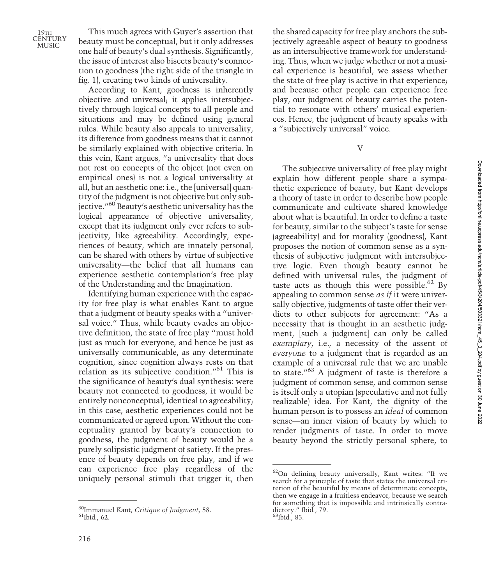This much agrees with Guyer's assertion that beauty must be conceptual, but it only addresses one half of beauty's dual synthesis. Significantly, the issue of interest also bisects beauty's connection to goodness (the right side of the triangle in fig. 1), creating two kinds of universality.

According to Kant, goodness is inherently objective and universal; it applies intersubjectively through logical concepts to all people and situations and may be defined using general rules. While beauty also appeals to universality, its difference from goodness means that it cannot be similarly explained with objective criteria. In this vein, Kant argues, "a universality that does not rest on concepts of the object (not even on empirical ones) is not a logical universality at all, but an aesthetic one: i.e., the [universal] quantity of the judgment is not objective but only subjective."<sup>60</sup> Beauty's aesthetic universality has the logical appearance of objective universality, except that its judgment only ever refers to subjectivity, like agreeability. Accordingly, experiences of beauty, which are innately personal, can be shared with others by virtue of subjective universality—the belief that all humans can experience aesthetic contemplation's free play of the Understanding and the Imagination.

Identifying human experience with the capacity for free play is what enables Kant to argue that a judgment of beauty speaks with a "universal voice." Thus, while beauty evades an objective definition, the state of free play "must hold just as much for everyone, and hence be just as universally communicable, as any determinate cognition, since cognition always rests on that relation as its subjective condition."<sup>61</sup> This is the significance of beauty's dual synthesis: were beauty not connected to goodness, it would be entirely nonconceptual, identical to agreeability; in this case, aesthetic experiences could not be communicated or agreed upon. Without the conceptuality granted by beauty's connection to goodness, the judgment of beauty would be a purely solipsistic judgment of satiety. If the presence of beauty depends on free play, and if we can experience free play regardless of the uniquely personal stimuli that trigger it, then V

The subjective universality of free play might explain how different people share a sympathetic experience of beauty, but Kant develops a theory of taste in order to describe how people communicate and cultivate shared knowledge about what is beautiful. In order to define a taste for beauty, similar to the subject's taste for sense (agreeability) and for morality (goodness), Kant proposes the notion of common sense as a synthesis of subjective judgment with intersubjective logic. Even though beauty cannot be defined with universal rules, the judgment of taste acts as though this were possible.<sup>62</sup> By appealing to common sense as if it were universally objective, judgments of taste offer their verdicts to other subjects for agreement: "As a necessity that is thought in an aesthetic judgment, [such a judgment] can only be called exemplary, i.e., a necessity of the assent of everyone to a judgment that is regarded as an example of a universal rule that we are unable to state."<sup>63</sup> A judgment of taste is therefore a judgment of common sense, and common sense is itself only a utopian (speculative and not fully realizable) idea. For Kant, the dignity of the human person is to possess an ideal of common sense—an inner vision of beauty by which to render judgments of taste. In order to move beauty beyond the strictly personal sphere, to

 $^{60}$ Immanuel Kant, Critique of Judgment, 58.  $^{61}$ Ibid., 62.

the shared capacity for free play anchors the subjectively agreeable aspect of beauty to goodness as an intersubjective framework for understanding. Thus, when we judge whether or not a musical experience is beautiful, we assess whether the state of free play is active in that experience; and because other people can experience free play, our judgment of beauty carries the potential to resonate with others' musical experiences. Hence, the judgment of beauty speaks with a "subjectively universal" voice.

<sup>62</sup>On defining beauty universally, Kant writes: "If we search for a principle of taste that states the universal criterion of the beautiful by means of determinate concepts, then we engage in a fruitless endeavor, because we search for something that is impossible and intrinsically contradictory." Ibid., 79.<br><sup>63</sup>Ibid., 85.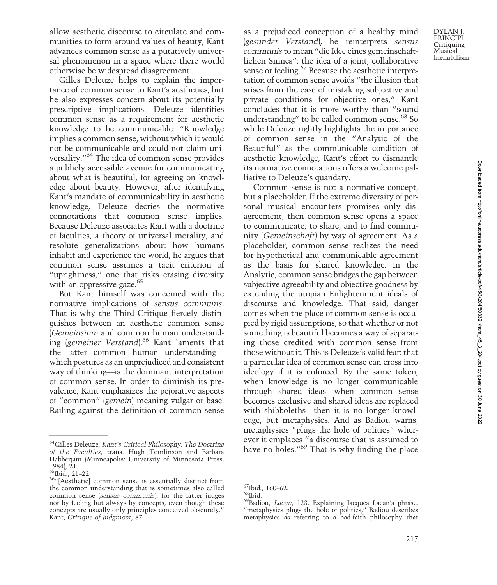allow aesthetic discourse to circulate and communities to form around values of beauty, Kant advances common sense as a putatively universal phenomenon in a space where there would otherwise be widespread disagreement.

Gilles Deleuze helps to explain the importance of common sense to Kant's aesthetics, but he also expresses concern about its potentially prescriptive implications. Deleuze identifies common sense as a requirement for aesthetic knowledge to be communicable: "Knowledge implies a common sense, without which it would not be communicable and could not claim universality."<sup>64</sup> The idea of common sense provides a publicly accessible avenue for communicating about what is beautiful, for agreeing on knowledge about beauty. However, after identifying Kant's mandate of communicability in aesthetic knowledge, Deleuze decries the normative connotations that common sense implies. Because Deleuze associates Kant with a doctrine of faculties, a theory of universal morality, and resolute generalizations about how humans inhabit and experience the world, he argues that common sense assumes a tacit criterion of "uprightness," one that risks erasing diversity with an oppressive gaze.<sup>65</sup>

But Kant himself was concerned with the normative implications of sensus communis. That is why the Third Critique fiercely distinguishes between an aesthetic common sense (Gemeinsinn) and common human understanding (gemeiner Verstand).<sup>66</sup> Kant laments that the latter common human understanding which postures as an unprejudiced and consistent way of thinking—is the dominant interpretation of common sense. In order to diminish its prevalence, Kant emphasizes the pejorative aspects of "common" (gemein) meaning vulgar or base. Railing against the definition of common sense

as a prejudiced conception of a healthy mind (gesunder Verstand), he reinterprets sensus communis to mean "die Idee eines gemeinschaftlichen Sinnes": the idea of a joint, collaborative sense or feeling.<sup>67</sup> Because the aesthetic interpretation of common sense avoids "the illusion that arises from the ease of mistaking subjective and private conditions for objective ones," Kant concludes that it is more worthy than "sound understanding" to be called common sense.<sup>68</sup> So while Deleuze rightly highlights the importance of common sense in the "Analytic of the Beautiful" as the communicable condition of aesthetic knowledge, Kant's effort to dismantle its normative connotations offers a welcome palliative to Deleuze's quandary.

Common sense is not a normative concept, but a placeholder. If the extreme diversity of personal musical encounters promises only disagreement, then common sense opens a space to communicate, to share, and to find community (Gemeinschaft) by way of agreement. As a placeholder, common sense realizes the need for hypothetical and communicable agreement as the basis for shared knowledge. In the Analytic, common sense bridges the gap between subjective agreeability and objective goodness by extending the utopian Enlightenment ideals of discourse and knowledge. That said, danger comes when the place of common sense is occupied by rigid assumptions, so that whether or not something is beautiful becomes a way of separating those credited with common sense from those without it. This is Deleuze's valid fear: that a particular idea of common sense can cross into ideology if it is enforced. By the same token, when knowledge is no longer communicable through shared ideas—when common sense becomes exclusive and shared ideas are replaced with shibboleths—then it is no longer knowledge, but metaphysics. And as Badiou warns, metaphysics "plugs the hole of politics" wherever it emplaces "a discourse that is assumed to have no holes."<sup>69</sup> That is why finding the place

<sup>64</sup>Gilles Deleuze, Kant's Critical Philosophy: The Doctrine of the Faculties, trans. Hugh Tomlinson and Barbara Habberjam (Minneapolis: University of Minnesota Press, 1984), 21.<br><sup>65</sup>Ibid., 21–22.

<sup>&</sup>lt;sup>66</sup>"[Aesthetic] common sense is essentially distinct from the common understanding that is sometimes also called common sense (sensus communis); for the latter judges not by feeling but always by concepts, even though these concepts are usually only principles conceived obscurely." Kant, Critique of Judgment, 87.

<sup>&</sup>lt;sup>67</sup>Ibid., 160–62.<br><sup>68</sup>Ibid.<br><sup>69</sup>Badiou, *Lacan*, 123. Explaining Jacques Lacan's phrase, "metaphysics plugs the hole of politics," Badiou describes metaphysics as referring to a bad-faith philosophy that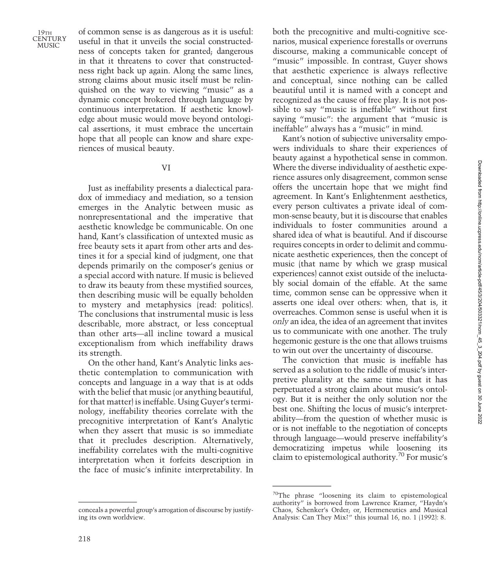of common sense is as dangerous as it is useful: useful in that it unveils the social constructedness of concepts taken for granted; dangerous in that it threatens to cover that constructedness right back up again. Along the same lines, strong claims about music itself must be relinquished on the way to viewing "music" as a dynamic concept brokered through language by continuous interpretation. If aesthetic knowledge about music would move beyond ontological assertions, it must embrace the uncertain hope that all people can know and share experiences of musical beauty.

## VI

Just as ineffability presents a dialectical paradox of immediacy and mediation, so a tension emerges in the Analytic between music as nonrepresentational and the imperative that aesthetic knowledge be communicable. On one hand, Kant's classification of untexted music as free beauty sets it apart from other arts and destines it for a special kind of judgment, one that depends primarily on the composer's genius or a special accord with nature. If music is believed to draw its beauty from these mystified sources, then describing music will be equally beholden to mystery and metaphysics (read: politics). The conclusions that instrumental music is less describable, more abstract, or less conceptual than other arts—all incline toward a musical exceptionalism from which ineffability draws its strength.

On the other hand, Kant's Analytic links aesthetic contemplation to communication with concepts and language in a way that is at odds with the belief that music (or anything beautiful, for that matter) is ineffable. Using Guyer's terminology, ineffability theories correlate with the precognitive interpretation of Kant's Analytic when they assert that music is so immediate that it precludes description. Alternatively, ineffability correlates with the multi-cognitive interpretation when it forfeits description in the face of music's infinite interpretability. In

conceals a powerful group's arrogation of discourse by justifying its own worldview.

both the precognitive and multi-cognitive scenarios, musical experience forestalls or overruns discourse, making a communicable concept of "music" impossible. In contrast, Guyer shows that aesthetic experience is always reflective and conceptual, since nothing can be called beautiful until it is named with a concept and recognized as the cause of free play. It is not possible to say "music is ineffable" without first saying "music": the argument that "music is ineffable" always has a "music" in mind.

Kant's notion of subjective universality empowers individuals to share their experiences of beauty against a hypothetical sense in common. Where the diverse individuality of aesthetic experience assures only disagreement, common sense offers the uncertain hope that we might find agreement. In Kant's Enlightenment aesthetics, every person cultivates a private ideal of common-sense beauty, but it is discourse that enables individuals to foster communities around a shared idea of what is beautiful. And if discourse requires concepts in order to delimit and communicate aesthetic experiences, then the concept of music (that name by which we grasp musical experiences) cannot exist outside of the ineluctably social domain of the effable. At the same time, common sense can be oppressive when it asserts one ideal over others: when, that is, it overreaches. Common sense is useful when it is only an idea, the idea of an agreement that invites us to communicate with one another. The truly hegemonic gesture is the one that allows truisms to win out over the uncertainty of discourse.

The conviction that music is ineffable has served as a solution to the riddle of music's interpretive plurality at the same time that it has perpetuated a strong claim about music's ontology. But it is neither the only solution nor the best one. Shifting the locus of music's interpretability—from the question of whether music is or is not ineffable to the negotiation of concepts through language—would preserve ineffability's democratizing impetus while loosening its claim to epistemological authority.70 For music's

<sup>70</sup>The phrase "loosening its claim to epistemological authority" is borrowed from Lawrence Kramer, "Haydn's Chaos, Schenker's Order; or, Hermeneutics and Musical Analysis: Can They Mix?" this journal 16, no. 1 (1992): 8.